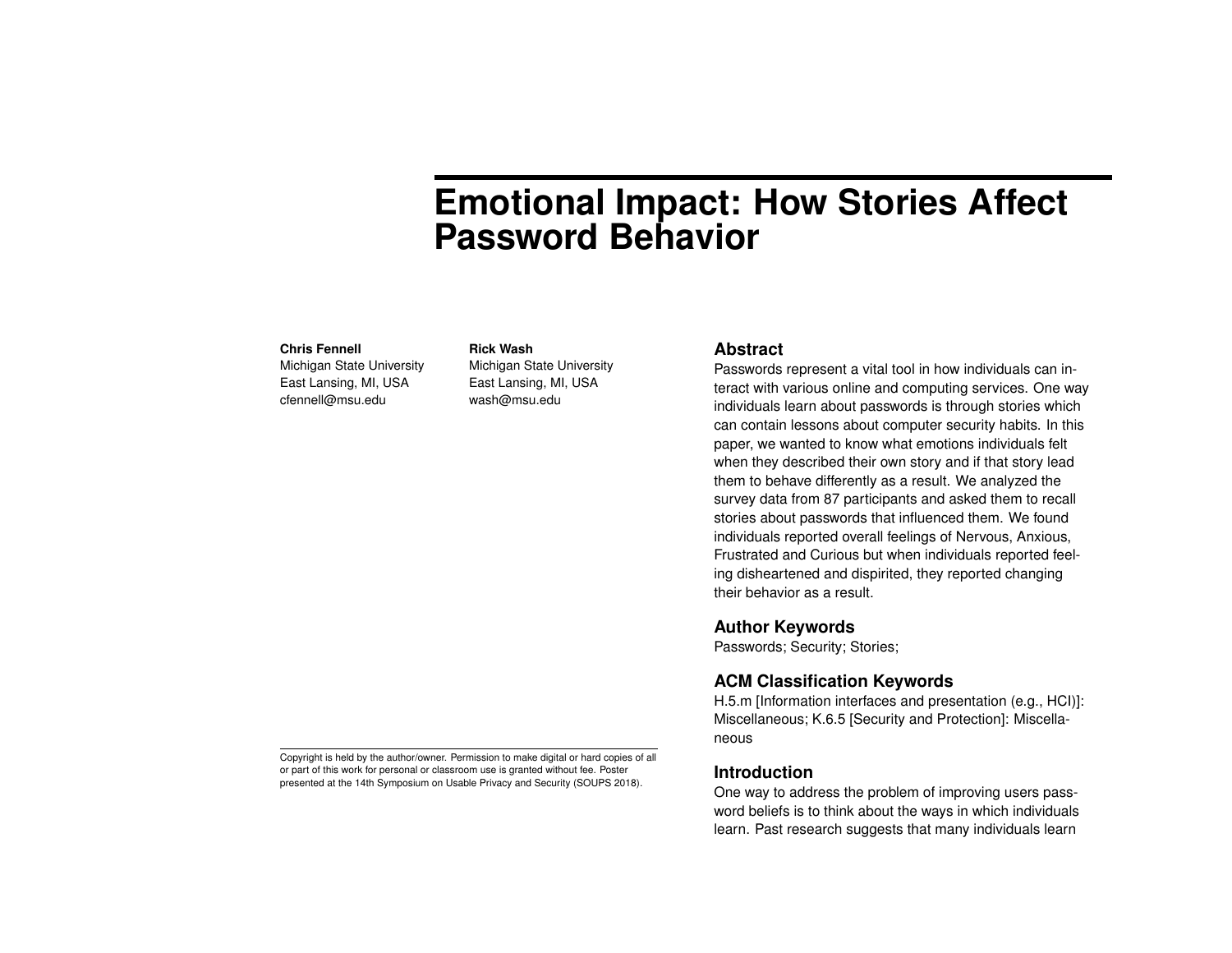# **Emotional Impact: How Stories Affect Password Behavior**

#### **Chris Fennell**

Michigan State University East Lansing, MI, USA cfennell@msu.edu

**Rick Wash** Michigan State University East Lansing, MI, USA

wash@msu.edu

#### **Abstract**

Passwords represent a vital tool in how individuals can interact with various online and computing services. One way individuals learn about passwords is through stories which can contain lessons about computer security habits. In this paper, we wanted to know what emotions individuals felt when they described their own story and if that story lead them to behave differently as a result. We analyzed the survey data from 87 participants and asked them to recall stories about passwords that influenced them. We found individuals reported overall feelings of Nervous, Anxious, Frustrated and Curious but when individuals reported feeling disheartened and dispirited, they reported changing their behavior as a result.

# **Author Keywords**

Passwords; Security; Stories;

# **ACM Classification Keywords**

H.5.m [Information interfaces and presentation (e.g., HCI)]: Miscellaneous; K.6.5 [Security and Protection]: Miscellaneous

#### **Introduction**

One way to address the problem of improving users password beliefs is to think about the ways in which individuals learn. Past research suggests that many individuals learn

Copyright is held by the author/owner. Permission to make digital or hard copies of all or part of this work for personal or classroom use is granted without fee. Poster presented at the 14th Symposium on Usable Privacy and Security (SOUPS 2018).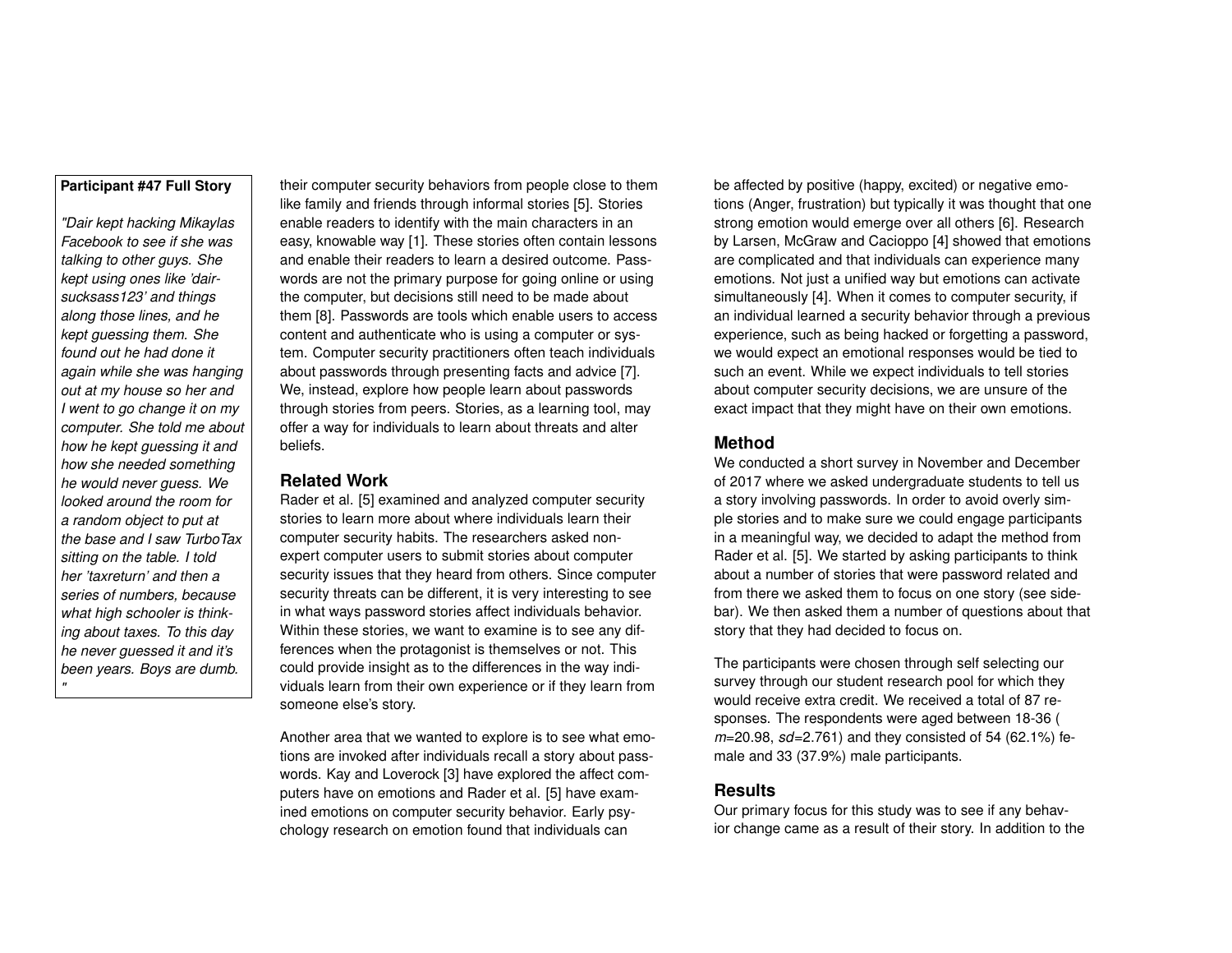#### **Participant #47 Full Story**

*"Dair kept hacking Mikaylas Facebook to see if she was talking to other guys. She kept using ones like 'dairsucksass123' and things along those lines, and he kept guessing them. She found out he had done it again while she was hanging out at my house so her and I went to go change it on my computer. She told me about how he kept guessing it and how she needed something he would never guess. We looked around the room for a random object to put at the base and I saw TurboTax sitting on the table. I told her 'taxreturn' and then a series of numbers, because what high schooler is thinking about taxes. To this day he never guessed it and it's been years. Boys are dumb. "*

their computer security behaviors from people close to them like family and friends through informal stories [\[5\]](#page-4-0). Stories enable readers to identify with the main characters in an easy, knowable way [\[1\]](#page-3-0). These stories often contain lessons and enable their readers to learn a desired outcome. Passwords are not the primary purpose for going online or using the computer, but decisions still need to be made about them [\[8\]](#page-4-1). Passwords are tools which enable users to access content and authenticate who is using a computer or system. Computer security practitioners often teach individuals about passwords through presenting facts and advice [\[7\]](#page-4-2). We, instead, explore how people learn about passwords through stories from peers. Stories, as a learning tool, may offer a way for individuals to learn about threats and alter beliefs.

# **Related Work**

Rader et al. [\[5\]](#page-4-0) examined and analyzed computer security stories to learn more about where individuals learn their computer security habits. The researchers asked nonexpert computer users to submit stories about computer security issues that they heard from others. Since computer security threats can be different, it is very interesting to see in what ways password stories affect individuals behavior. Within these stories, we want to examine is to see any differences when the protagonist is themselves or not. This could provide insight as to the differences in the way individuals learn from their own experience or if they learn from someone else's story.

Another area that we wanted to explore is to see what emotions are invoked after individuals recall a story about passwords. Kay and Loverock [\[3\]](#page-4-3) have explored the affect computers have on emotions and Rader et al. [\[5\]](#page-4-0) have examined emotions on computer security behavior. Early psychology research on emotion found that individuals can

be affected by positive (happy, excited) or negative emotions (Anger, frustration) but typically it was thought that one strong emotion would emerge over all others [\[6\]](#page-4-4). Research by Larsen, McGraw and Cacioppo [\[4\]](#page-4-5) showed that emotions are complicated and that individuals can experience many emotions. Not just a unified way but emotions can activate simultaneously [\[4\]](#page-4-5). When it comes to computer security, if an individual learned a security behavior through a previous experience, such as being hacked or forgetting a password, we would expect an emotional responses would be tied to such an event. While we expect individuals to tell stories about computer security decisions, we are unsure of the exact impact that they might have on their own emotions.

## **Method**

We conducted a short survey in November and December of 2017 where we asked undergraduate students to tell us a story involving passwords. In order to avoid overly simple stories and to make sure we could engage participants in a meaningful way, we decided to adapt the method from Rader et al. [\[5\]](#page-4-0). We started by asking participants to think about a number of stories that were password related and from there we asked them to focus on one story (see sidebar). We then asked them a number of questions about that story that they had decided to focus on.

The participants were chosen through self selecting our survey through our student research pool for which they would receive extra credit. We received a total of 87 responses. The respondents were aged between 18-36 ( *m*=20.98, *sd*=2.761) and they consisted of 54 (62.1%) female and 33 (37.9%) male participants.

### **Results**

Our primary focus for this study was to see if any behavior change came as a result of their story. In addition to the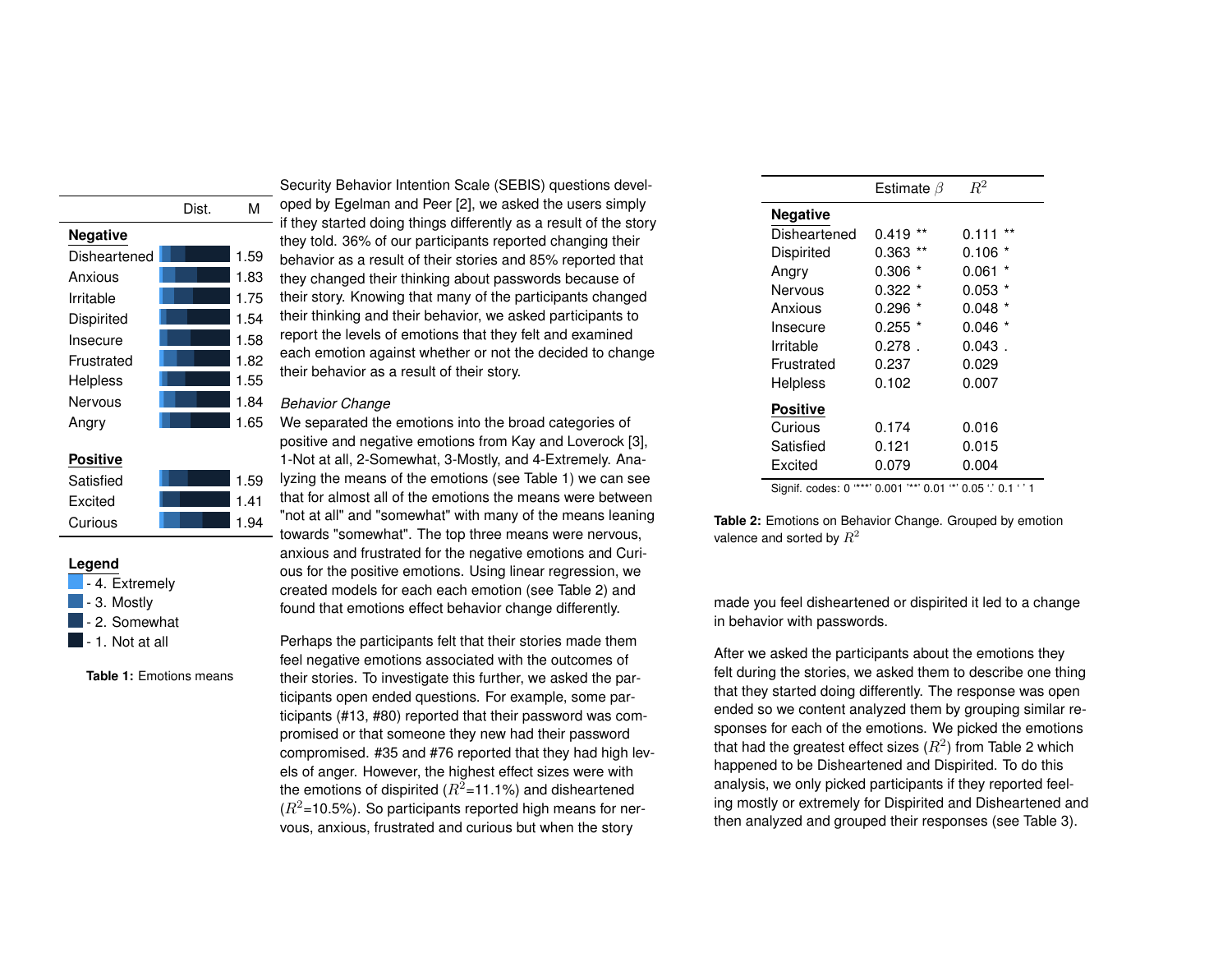|                 | Dist. | NЛ   |
|-----------------|-------|------|
| <b>Negative</b> |       |      |
| Disheartened    |       | 1.59 |
| Anxious         |       | 1.83 |
| Irritable       |       | 1 75 |
| Dispirited      |       | 1.54 |
| Insecure        |       | 1.58 |
| Frustrated      |       | 1.82 |
| Helpless        |       | 1.55 |
| Nervous         |       | 1.84 |
| Angry           |       | 1.65 |
|                 |       |      |
| POSIti          |       |      |

| Satisfied | 1.59 |
|-----------|------|
| Excited   | 1.41 |
| Curious   | 1 94 |

#### **Legend**

|  |  | - 4. Extremely |  |
|--|--|----------------|--|
|  |  |                |  |

- $\blacksquare$  3. Mostly
- **2. Somewhat**
- $\blacksquare$  1. Not at all

<span id="page-2-0"></span>**Table 1:** Emotions means

Security Behavior Intention Scale (SEBIS) questions developed by Egelman and Peer [\[2\]](#page-3-1), we asked the users simply if they started doing things differently as a result of the story they told. 36% of our participants reported changing their behavior as a result of their stories and 85% reported that they changed their thinking about passwords because of their story. Knowing that many of the participants changed their thinking and their behavior, we asked participants to report the levels of emotions that they felt and examined each emotion against whether or not the decided to change their behavior as a result of their story.

#### *Behavior Change*

We separated the emotions into the broad categories of positive and negative emotions from Kay and Loverock [\[3\]](#page-4-3), 1-Not at all, 2-Somewhat, 3-Mostly, and 4-Extremely. Analyzing the means of the emotions (see Table [1\)](#page-2-0) we can see that for almost all of the emotions the means were between "not at all" and "somewhat" with many of the means leaning towards "somewhat". The top three means were nervous, anxious and frustrated for the negative emotions and Curious for the positive emotions. Using linear regression, we created models for each each emotion (see Table [2\)](#page-2-1) and found that emotions effect behavior change differently.

Perhaps the participants felt that their stories made them feel negative emotions associated with the outcomes of their stories. To investigate this further, we asked the participants open ended questions. For example, some participants (#13, #80) reported that their password was compromised or that someone they new had their password compromised. #35 and #76 reported that they had high levels of anger. However, the highest effect sizes were with the emotions of dispirited  $(R^2=11.1\%)$  and disheartened  $(R^2=10.5\%)$ . So participants reported high means for nervous, anxious, frustrated and curious but when the story

<span id="page-2-1"></span>

|                 | Estimate $\beta$ | $R^2$            |
|-----------------|------------------|------------------|
| Negative        |                  |                  |
| Disheartened    | $***$<br>0.419   | $***$<br>0.111   |
| Dispirited      | 0.363            | *<br>0.106       |
| Angry           | 0.306            | $\star$<br>0.061 |
| Nervous         | $0.322 *$        | *<br>0.053       |
| Anxious         | $0.296$ $*$      | *<br>0.048       |
| Insecure        | $0.255$ *        | 0.046            |
| Irritable       | $0.278$ .        | $0.043$ .        |
| Frustrated      | 0.237            | 0.029            |
| Helpless        | 0.102            | 0.007            |
| <b>Positive</b> |                  |                  |
| Curious         | 0.174            | 0.016            |
| Satisfied       | 0.121            | 0.015            |
| Excited         | 0.079            | 0.004            |

Signif. codes: 0 '\*\*\*' 0.001 '\*\*' 0.01 '\*' 0.05 '.' 0.1 ' ' 1

**Table 2:** Emotions on Behavior Change. Grouped by emotion valence and sorted by  $R^2$ 

made you feel disheartened or dispirited it led to a change in behavior with passwords.

After we asked the participants about the emotions they felt during the stories, we asked them to describe one thing that they started doing differently. The response was open ended so we content analyzed them by grouping similar responses for each of the emotions. We picked the emotions that had the greatest effect sizes  $(R^2)$  $(R^2)$  $(R^2)$  from Table 2 which happened to be Disheartened and Dispirited. To do this analysis, we only picked participants if they reported feeling mostly or extremely for Dispirited and Disheartened and then analyzed and grouped their responses (see Table [3\)](#page-3-2).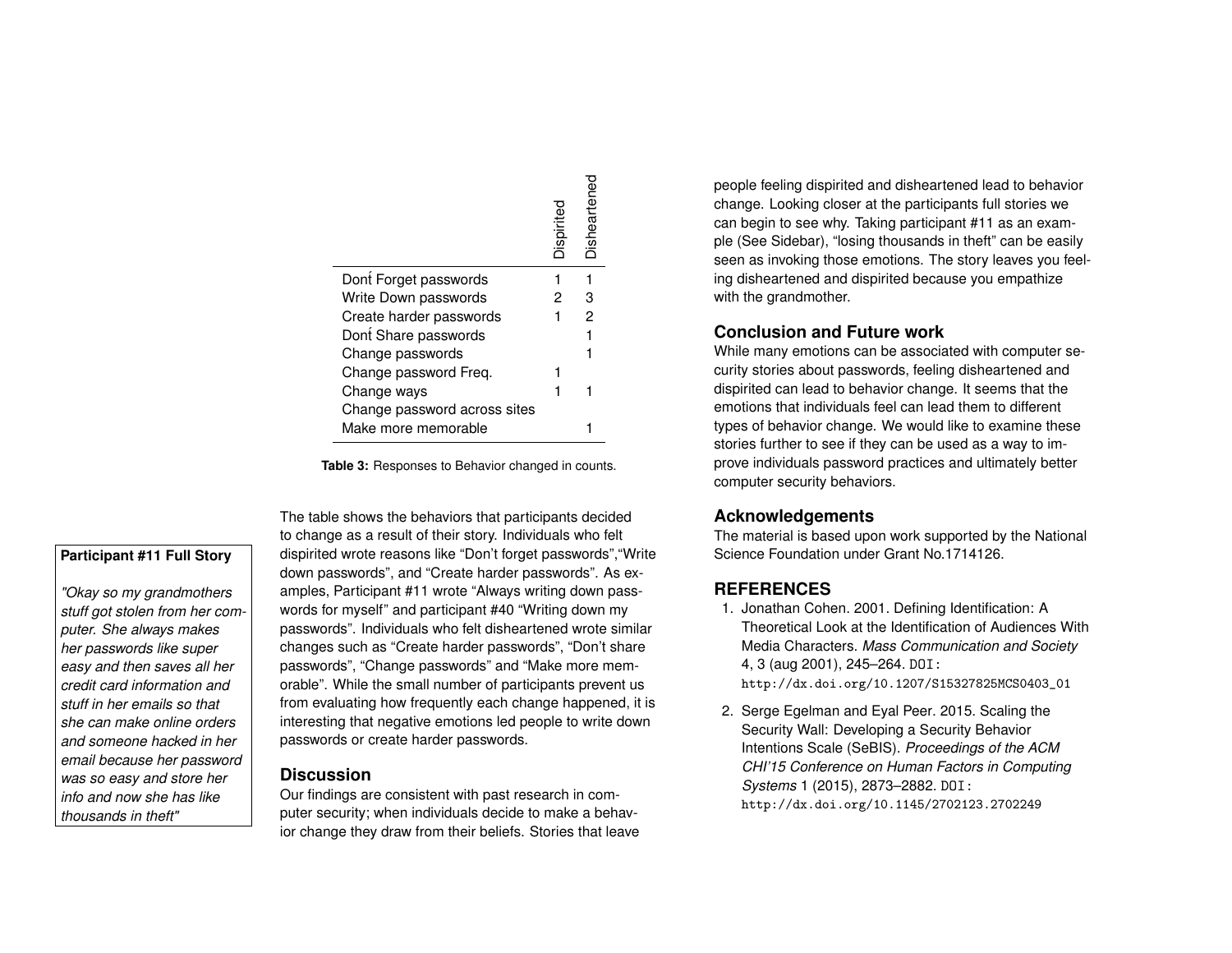<span id="page-3-2"></span>

|                              | Dispirite | Disheartenec |
|------------------------------|-----------|--------------|
| Dont Forget passwords        |           |              |
| Write Down passwords         |           | з            |
| Create harder passwords      |           | 2            |
| Dont Share passwords         |           |              |
| Change passwords             |           |              |
| Change password Freq.        |           |              |
| Change ways                  |           |              |
| Change password across sites |           |              |
| Make more memorable          |           |              |

**Table 3:** Responses to Behavior changed in counts.

# **Participant #11 Full Story**

*"Okay so my grandmothers stuff got stolen from her computer. She always makes her passwords like super easy and then saves all her credit card information and stuff in her emails so that she can make online orders and someone hacked in her email because her password was so easy and store her info and now she has like thousands in theft"*

The table shows the behaviors that participants decided to change as a result of their story. Individuals who felt dispirited wrote reasons like "Don't forget passwords","Write down passwords", and "Create harder passwords". As examples, Participant #11 wrote "Always writing down passwords for myself" and participant #40 "Writing down my passwords". Individuals who felt disheartened wrote similar changes such as "Create harder passwords", "Don't share passwords", "Change passwords" and "Make more memorable". While the small number of participants prevent us from evaluating how frequently each change happened, it is interesting that negative emotions led people to write down passwords or create harder passwords.

# **Discussion**

Our findings are consistent with past research in computer security; when individuals decide to make a behavior change they draw from their beliefs. Stories that leave people feeling dispirited and disheartened lead to behavior change. Looking closer at the participants full stories we can begin to see why. Taking participant #11 as an example (See Sidebar), "losing thousands in theft" can be easily seen as invoking those emotions. The story leaves you feeling disheartened and dispirited because you empathize with the grandmother.

# **Conclusion and Future work**

While many emotions can be associated with computer security stories about passwords, feeling disheartened and dispirited can lead to behavior change. It seems that the emotions that individuals feel can lead them to different types of behavior change. We would like to examine these stories further to see if they can be used as a way to improve individuals password practices and ultimately better computer security behaviors.

# **Acknowledgements**

The material is based upon work supported by the National Science Foundation under Grant No.1714126.

# **REFERENCES**

- <span id="page-3-0"></span>1. Jonathan Cohen. 2001. Defining Identification: A Theoretical Look at the Identification of Audiences With Media Characters. *Mass Communication and Society* 4, 3 (aug 2001), 245–264. DOI: [http://dx.doi.org/10.1207/S15327825MCS0403\\_01](http://dx.doi.org/10.1207/S15327825MCS0403_01)
- <span id="page-3-1"></span>2. Serge Egelman and Eyal Peer. 2015. Scaling the Security Wall: Developing a Security Behavior Intentions Scale (SeBIS). *Proceedings of the ACM CHI'15 Conference on Human Factors in Computing Systems* 1 (2015), 2873–2882. DOI: <http://dx.doi.org/10.1145/2702123.2702249>